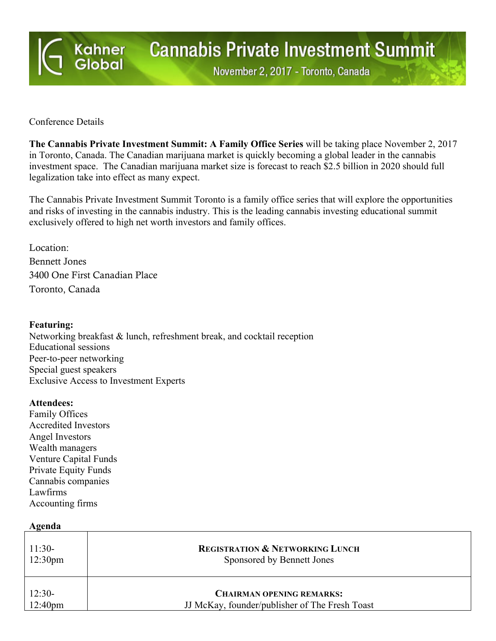

# **Cannabis Private Investment Summit**

November 2, 2017 - Toronto, Canada

#### Conference Details

**The Cannabis Private Investment Summit: A Family Office Series** will be taking place November 2, 2017 in Toronto, Canada. The Canadian marijuana market is quickly becoming a global leader in the cannabis investment space. The Canadian marijuana market size is forecast to reach \$2.5 billion in 2020 should full legalization take into effect as many expect.

The Cannabis Private Investment Summit Toronto is a family office series that will explore the opportunities and risks of investing in the cannabis industry. This is the leading cannabis investing educational summit exclusively offered to high net worth investors and family offices.

Location: Bennett Jones 3400 One First Canadian Place Toronto, Canada

## **Featuring:**

Networking breakfast & lunch, refreshment break, and cocktail reception Educational sessions Peer-to-peer networking Special guest speakers Exclusive Access to Investment Experts

#### **Attendees:**

Family Offices Accredited Investors Angel Investors Wealth managers Venture Capital Funds Private Equity Funds Cannabis companies Lawfirms Accounting firms

| Agenda                          |                                                                                    |  |
|---------------------------------|------------------------------------------------------------------------------------|--|
| $11:30-$<br>12:30 <sub>pm</sub> | <b>REGISTRATION &amp; NETWORKING LUNCH</b><br>Sponsored by Bennett Jones           |  |
| $12:30-$<br>12:40 <sub>pm</sub> | <b>CHAIRMAN OPENING REMARKS:</b><br>JJ McKay, founder/publisher of The Fresh Toast |  |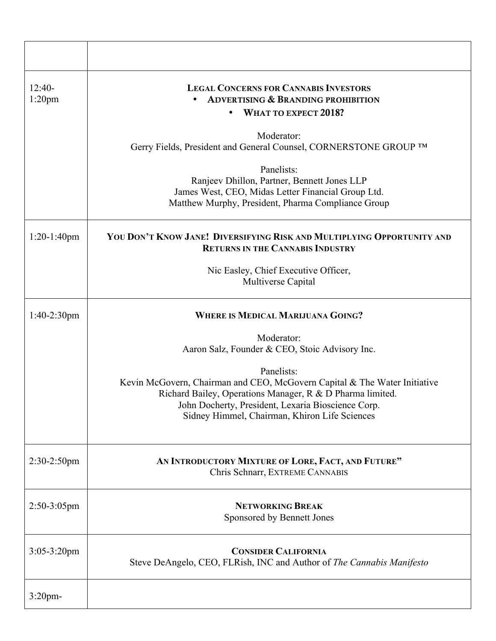| $12:40-$<br>$1:20$ pm | <b>LEGAL CONCERNS FOR CANNABIS INVESTORS</b><br><b>ADVERTISING &amp; BRANDING PROHIBITION</b><br>WHAT TO EXPECT 2018?                                                                                                                                       |
|-----------------------|-------------------------------------------------------------------------------------------------------------------------------------------------------------------------------------------------------------------------------------------------------------|
|                       | Moderator:<br>Gerry Fields, President and General Counsel, CORNERSTONE GROUP TM                                                                                                                                                                             |
|                       | Panelists:<br>Ranjeev Dhillon, Partner, Bennett Jones LLP<br>James West, CEO, Midas Letter Financial Group Ltd.<br>Matthew Murphy, President, Pharma Compliance Group                                                                                       |
| $1:20-1:40$ pm        | YOU DON'T KNOW JANE! DIVERSIFYING RISK AND MULTIPLYING OPPORTUNITY AND<br><b>RETURNS IN THE CANNABIS INDUSTRY</b>                                                                                                                                           |
|                       | Nic Easley, Chief Executive Officer,<br>Multiverse Capital                                                                                                                                                                                                  |
| $1:40-2:30$ pm        | <b>WHERE IS MEDICAL MARIJUANA GOING?</b>                                                                                                                                                                                                                    |
|                       | Moderator:<br>Aaron Salz, Founder & CEO, Stoic Advisory Inc.                                                                                                                                                                                                |
|                       | Panelists:<br>Kevin McGovern, Chairman and CEO, McGovern Capital & The Water Initiative<br>Richard Bailey, Operations Manager, R & D Pharma limited.<br>John Docherty, President, Lexaria Bioscience Corp.<br>Sidney Himmel, Chairman, Khiron Life Sciences |
| $2:30-2:50$ pm        | AN INTRODUCTORY MIXTURE OF LORE, FACT, AND FUTURE"<br>Chris Schnarr, EXTREME CANNABIS                                                                                                                                                                       |
| $2:50-3:05$ pm        | <b>NETWORKING BREAK</b><br>Sponsored by Bennett Jones                                                                                                                                                                                                       |
| $3:05 - 3:20$ pm      | <b>CONSIDER CALIFORNIA</b><br>Steve DeAngelo, CEO, FLRish, INC and Author of The Cannabis Manifesto                                                                                                                                                         |
| $3:20$ pm-            |                                                                                                                                                                                                                                                             |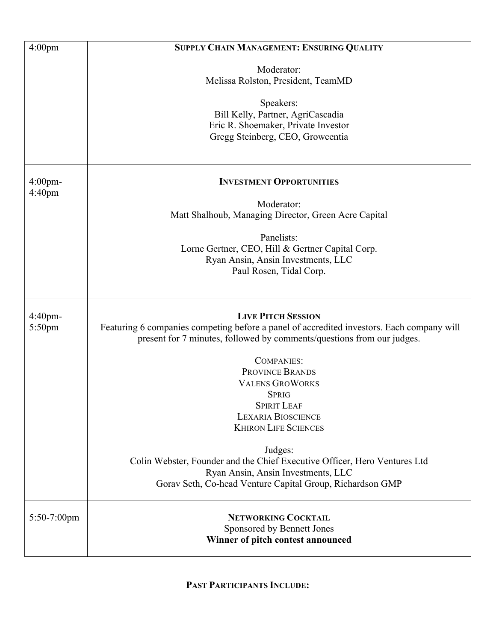| 4:00 <sub>pm</sub>               | SUPPLY CHAIN MANAGEMENT: ENSURING QUALITY                                                                                                                           |
|----------------------------------|---------------------------------------------------------------------------------------------------------------------------------------------------------------------|
|                                  |                                                                                                                                                                     |
|                                  | Moderator:<br>Melissa Rolston, President, TeamMD                                                                                                                    |
|                                  |                                                                                                                                                                     |
|                                  | Speakers:                                                                                                                                                           |
|                                  | Bill Kelly, Partner, AgriCascadia                                                                                                                                   |
|                                  | Eric R. Shoemaker, Private Investor<br>Gregg Steinberg, CEO, Growcentia                                                                                             |
|                                  |                                                                                                                                                                     |
|                                  |                                                                                                                                                                     |
| $4:00$ pm-<br>4:40 <sub>pm</sub> | <b>INVESTMENT OPPORTUNITIES</b>                                                                                                                                     |
|                                  | Moderator:                                                                                                                                                          |
|                                  | Matt Shalhoub, Managing Director, Green Acre Capital                                                                                                                |
|                                  | Panelists:                                                                                                                                                          |
|                                  | Lorne Gertner, CEO, Hill & Gertner Capital Corp.                                                                                                                    |
|                                  | Ryan Ansin, Ansin Investments, LLC                                                                                                                                  |
|                                  | Paul Rosen, Tidal Corp.                                                                                                                                             |
|                                  |                                                                                                                                                                     |
|                                  |                                                                                                                                                                     |
| $4:40$ pm-                       | <b>LIVE PITCH SESSION</b>                                                                                                                                           |
| 5:50pm                           | Featuring 6 companies competing before a panel of accredited investors. Each company will<br>present for 7 minutes, followed by comments/questions from our judges. |
|                                  | <b>COMPANIES:</b>                                                                                                                                                   |
|                                  | PROVINCE BRANDS                                                                                                                                                     |
|                                  | <b>VALENS GROWORKS</b>                                                                                                                                              |
|                                  | <b>SPRIG</b><br><b>SPIRIT LEAF</b>                                                                                                                                  |
|                                  | <b>LEXARIA BIOSCIENCE</b>                                                                                                                                           |
|                                  | <b>KHIRON LIFE SCIENCES</b>                                                                                                                                         |
|                                  | Judges:                                                                                                                                                             |
|                                  | Colin Webster, Founder and the Chief Executive Officer, Hero Ventures Ltd                                                                                           |
|                                  | Ryan Ansin, Ansin Investments, LLC                                                                                                                                  |
|                                  | Gorav Seth, Co-head Venture Capital Group, Richardson GMP                                                                                                           |
| 5:50-7:00pm                      | <b>NETWORKING COCKTAIL</b>                                                                                                                                          |
|                                  | Sponsored by Bennett Jones                                                                                                                                          |
|                                  | Winner of pitch contest announced                                                                                                                                   |
|                                  |                                                                                                                                                                     |

# **PAST PARTICIPANTS INCLUDE:**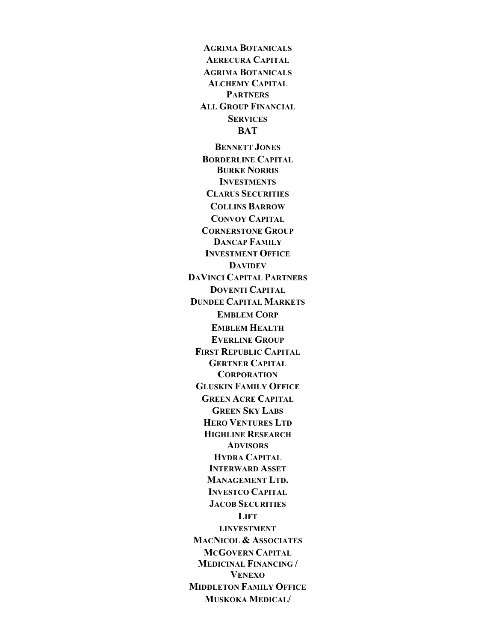**AGRIMA BOTANICALS AERECURA CAPITAL AGRIMA BOTANICALS ALCHEMY CAPITAL PARTNERS ALL GROUP FINANCIAL SERVICES BAT BENNETT JONES BORDERLINE CAPITAL BURKE NORRIS INVESTMENTS CLARUS SECURITIES COLLINS BARROW CONVOY CAPITAL CORNERSTONE GROUP DANCAP FAMILY INVESTMENT OFFICE DAVIDEV DAVINCI CAPITAL PARTNERS DOVENTI CAPITAL DUNDEE CAPITAL MARKETS EMBLEM CORP EMBLEM HEALTH EVERLINE GROUP FIRST REPUBLIC CAPITAL GERTNER CAPITAL CORPORATION GLUSKIN FAMILY OFFICE GREEN ACRE CAPITAL GREEN SKY LABS HERO VENTURES LTD HIGHLINE RESEARCH ADVISORS HYDRA CAPITAL INTERWARD ASSET MANAGEMENT LTD. INVESTCO CAPITAL JACOB SECURITIES LIFT LINVESTMENT MACNICOL & ASSOCIATES MCGOVERN CAPITAL MEDICINAL FINANCING / VENEXO MIDDLETON FAMILY OFFICE MUSKOKA MEDICAL/**